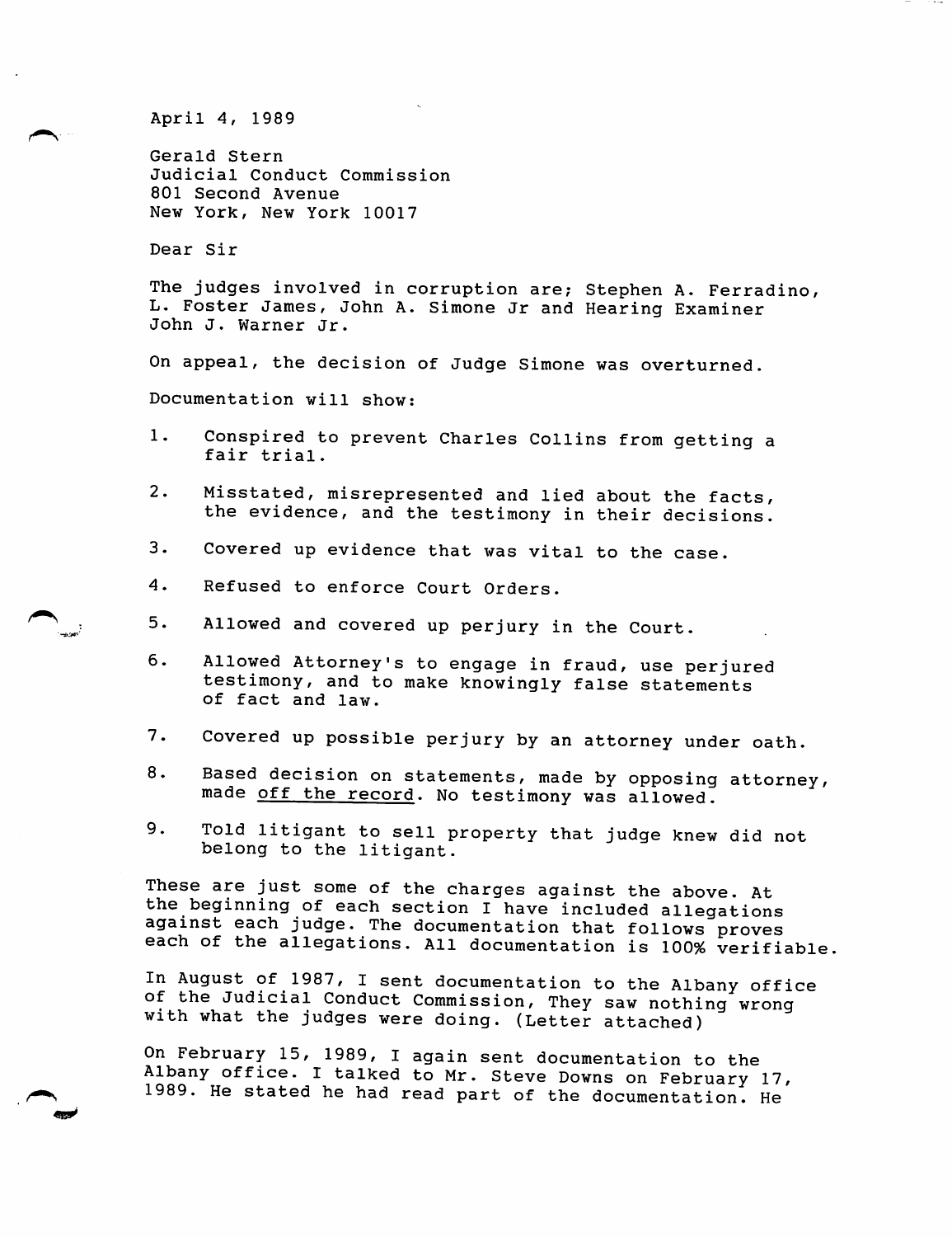April 4, 1989

Gerald Stern Judicial Conduct Commission 801 Second Avenue New York, New York 10017

Dear Sir

The judges involved in corruption are; Stephen A. Ferradino, L. Foster James, John A. Simone Jr and Hearing Examiner John J. Warner Jr.

On appeal, the decision of Judge Simone was overturned.

Documentation will show:

- 1. Conspired to prevent Charles Collins from getting a fair trial.
- 2. Misstated, misrepresented and lied about the facts, the evidence, and the testimony in their decisions.
- 3. Covered up evidence that was vital to the case.
- 4. Refused to enforce Court Orders.
- 5. Allowed and covered up perjury in the Court.
- 6. Allowed Attorney's to engage in fraud, use perjured testimony, and to make knowingly false statements of fact and law.
- 7. Covered up possible perjury by an attorney under oath.
- 8. Based decision on statements, made by opposing attorney, made off the record. No testimony was allowed.
- 9. Told litigant to sell property that judge knew did not belong to the litigant.

These are just some of the charges against the above. At the beginning of each section I have included allegations against each judge. The documentation that follows proves each of the allegations. All documentation is 100% verifiable.

In August of 1987, I sent documentation to the Albany office of the Judicial Conduct Commission, They saw nothing wrong with what the judges were doing. (Letter attached)

On February 15, 1989, I again sent documentation to the Albany office. I talked to Mr. Steve Downs on February 17, 1989. He stated he had read part of the documentation. He